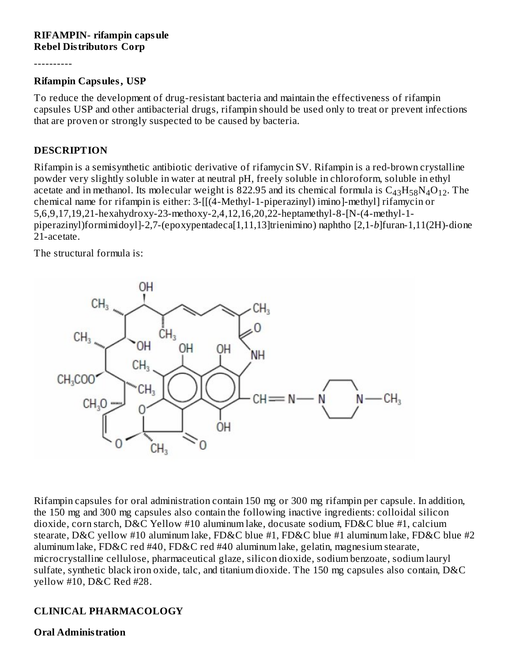#### **RIFAMPIN- rifampin capsule Rebel Distributors Corp**

----------

#### **Rifampin Capsules, USP**

To reduce the development of drug-resistant bacteria and maintain the effectiveness of rifampin capsules USP and other antibacterial drugs, rifampin should be used only to treat or prevent infections that are proven or strongly suspected to be caused by bacteria.

#### **DESCRIPTION**

Rifampin is a semisynthetic antibiotic derivative of rifamycin SV. Rifampin is a red-brown crystalline powder very slightly soluble in water at neutral pH, freely soluble in chloroform, soluble in ethyl acetate and in methanol. Its molecular weight is 822.95 and its chemical formula is  $\rm{C_{43}H_{58}N_4O_{12}}.$  The chemical name for rifampin is either: 3-[[(4-Methyl-1-piperazinyl) imino]-methyl] rifamycin or 5,6,9,17,19,21-hexahydroxy-23-methoxy-2,4,12,16,20,22-heptamethyl-8-[N-(4-methyl-1 piperazinyl)formimidoyl]-2,7-(epoxypentadeca[1,11,13]trienimino) naphtho [2,1-*b*]furan-1,11(2H)-dione 21-acetate.

The structural formula is:



Rifampin capsules for oral administration contain 150 mg or 300 mg rifampin per capsule. In addition, the 150 mg and 300 mg capsules also contain the following inactive ingredients: colloidal silicon dioxide, corn starch, D&C Yellow #10 aluminum lake, docusate sodium, FD&C blue #1, calcium stearate, D&C yellow #10 aluminum lake, FD&C blue #1, FD&C blue #1 aluminum lake, FD&C blue #2 aluminum lake, FD&C red #40, FD&C red #40 aluminum lake, gelatin, magnesium stearate, microcrystalline cellulose, pharmaceutical glaze, silicon dioxide, sodium benzoate, sodium lauryl sulfate, synthetic black iron oxide, talc, and titanium dioxide. The 150 mg capsules also contain, D&C yellow #10, D&C Red #28.

# **CLINICAL PHARMACOLOGY**

**Oral Administration**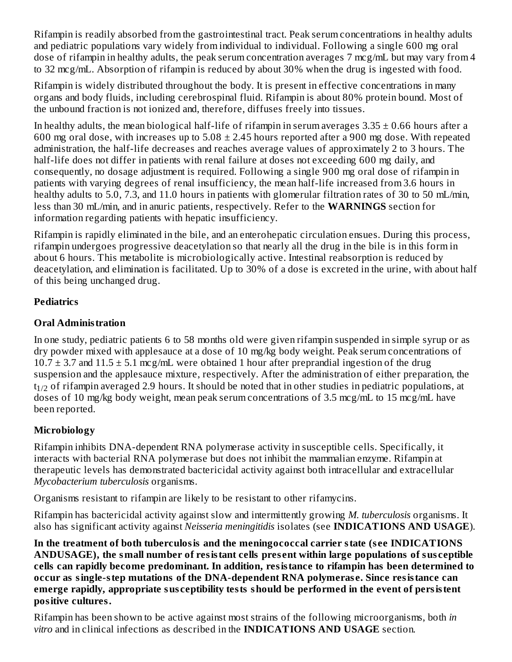Rifampin is readily absorbed from the gastrointestinal tract. Peak serum concentrations in healthy adults and pediatric populations vary widely from individual to individual. Following a single 600 mg oral dose of rifampin in healthy adults, the peak serum concentration averages 7 mcg/mL but may vary from 4 to 32 mcg/mL. Absorption of rifampin is reduced by about 30% when the drug is ingested with food.

Rifampin is widely distributed throughout the body. It is present in effective concentrations in many organs and body fluids, including cerebrospinal fluid. Rifampin is about 80% protein bound. Most of the unbound fraction is not ionized and, therefore, diffuses freely into tissues.

In healthy adults, the mean biological half-life of rifampin in serum averages  $3.35 \pm 0.66$  hours after a 600 mg oral dose, with increases up to  $5.08 \pm 2.45$  hours reported after a 900 mg dose. With repeated administration, the half-life decreases and reaches average values of approximately 2 to 3 hours. The half-life does not differ in patients with renal failure at doses not exceeding 600 mg daily, and consequently, no dosage adjustment is required. Following a single 900 mg oral dose of rifampin in patients with varying degrees of renal insufficiency, the mean half-life increased from 3.6 hours in healthy adults to 5.0, 7.3, and 11.0 hours in patients with glomerular filtration rates of 30 to 50 mL/min, less than 30 mL/min, and in anuric patients, respectively. Refer to the **WARNINGS** section for information regarding patients with hepatic insufficiency.

Rifampin is rapidly eliminated in the bile, and an enterohepatic circulation ensues. During this process, rifampin undergoes progressive deacetylation so that nearly all the drug in the bile is in this form in about 6 hours. This metabolite is microbiologically active. Intestinal reabsorption is reduced by deacetylation, and elimination is facilitated. Up to 30% of a dose is excreted in the urine, with about half of this being unchanged drug.

# **Pediatrics**

# **Oral Administration**

In one study, pediatric patients 6 to 58 months old were given rifampin suspended in simple syrup or as dry powder mixed with applesauce at a dose of 10 mg/kg body weight. Peak serum concentrations of  $10.7 \pm 3.7$  and  $11.5 \pm 5.1$  mcg/mL were obtained 1 hour after preprandial ingestion of the drug suspension and the applesauce mixture, respectively. After the administration of either preparation, the  $t_{1/2}$  of rifampin averaged 2.9 hours. It should be noted that in other studies in pediatric populations, at doses of 10 mg/kg body weight, mean peak serum concentrations of 3.5 mcg/mL to 15 mcg/mL have been reported.

# **Microbiology**

Rifampin inhibits DNA-dependent RNA polymerase activity in susceptible cells. Specifically, it interacts with bacterial RNA polymerase but does not inhibit the mammalian enzyme. Rifampin at therapeutic levels has demonstrated bactericidal activity against both intracellular and extracellular *Mycobacterium tuberculosis* organisms.

Organisms resistant to rifampin are likely to be resistant to other rifamycins.

Rifampin has bactericidal activity against slow and intermittently growing *M. tuberculosis* organisms. It also has significant activity against *Neisseria meningitidis* isolates (see **INDICATIONS AND USAGE**).

**In the treatment of both tuberculosis and the meningococcal carrier state (s ee INDICATIONS ANDUSAGE), the small number of resistant cells pres ent within large populations of sus ceptible cells can rapidly become predominant. In addition, resistance to rifampin has been determined to occur as single-step mutations of the DNA-dependent RNA polymeras e. Since resistance can emerge rapidly, appropriate sus ceptibility tests should be performed in the event of persistent positive cultures.**

Rifampin has been shown to be active against most strains of the following microorganisms, both *in vitro* and in clinical infections as described in the **INDICATIONS AND USAGE** section.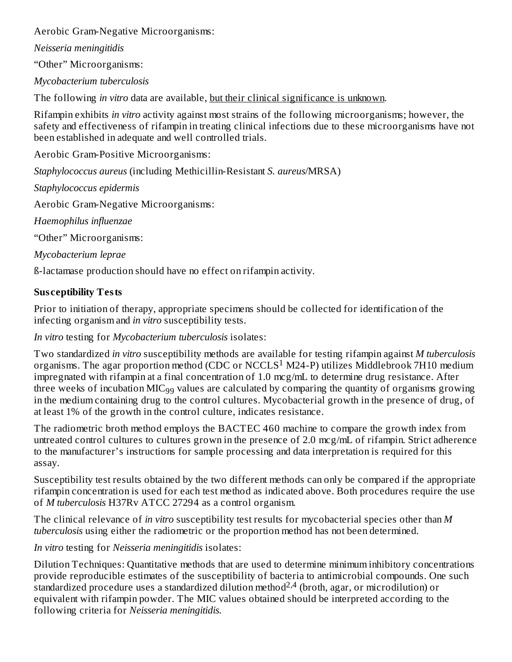Aerobic Gram-Negative Microorganisms:

*Neisseria meningitidis*

"Other" Microorganisms:

*Mycobacterium tuberculosis*

The following *in vitro* data are available, but their clinical significance is unknown.

Rifampin exhibits *in vitro* activity against most strains of the following microorganisms; however, the safety and effectiveness of rifampin in treating clinical infections due to these microorganisms have not been established in adequate and well controlled trials.

Aerobic Gram-Positive Microorganisms:

*Staphylococcus aureus* (including Methicillin-Resistant *S. aureus*/MRSA)

*Staphylococcus epidermis*

Aerobic Gram-Negative Microorganisms:

*Haemophilus influenzae*

"Other" Microorganisms:

*Mycobacterium leprae*

ß-lactamase production should have no effect on rifampin activity.

# **Sus ceptibility Tests**

Prior to initiation of therapy, appropriate specimens should be collected for identification of the infecting organism and *in vitro* susceptibility tests.

*In vitro* testing for *Mycobacterium tuberculosis* isolates:

Two standardized *in vitro* susceptibility methods are available for testing rifampin against *M tuberculosis* organisms. The agar proportion method (CDC or NCCLS<sup>1</sup> M24-P) utilizes Middlebrook 7H10 medium impregnated with rifampin at a final concentration of 1.0 mcg/mL to determine drug resistance. After three weeks of incubation MIC $_{99}$  values are calculated by comparing the quantity of organisms growing in the medium containing drug to the control cultures. Mycobacterial growth in the presence of drug, of at least 1% of the growth in the control culture, indicates resistance.

The radiometric broth method employs the BACTEC 460 machine to compare the growth index from untreated control cultures to cultures grown in the presence of 2.0 mcg/mL of rifampin. Strict adherence to the manufacturer's instructions for sample processing and data interpretation is required for this assay.

Susceptibility test results obtained by the two different methods can only be compared if the appropriate rifampin concentration is used for each test method as indicated above. Both procedures require the use of *M tuberculosis* H37Rv ATCC 27294 as a control organism.

The clinical relevance of *in vitro* susceptibility test results for mycobacterial species other than *M tuberculosis* using either the radiometric or the proportion method has not been determined.

*In vitro* testing for *Neisseria meningitidis* isolates:

Dilution Techniques: Quantitative methods that are used to determine minimum inhibitory concentrations provide reproducible estimates of the susceptibility of bacteria to antimicrobial compounds. One such standardized procedure uses a standardized dilution method $^{2,4}$  (broth, agar, or microdilution) or equivalent with rifampin powder. The MIC values obtained should be interpreted according to the following criteria for *Neisseria meningitidis.*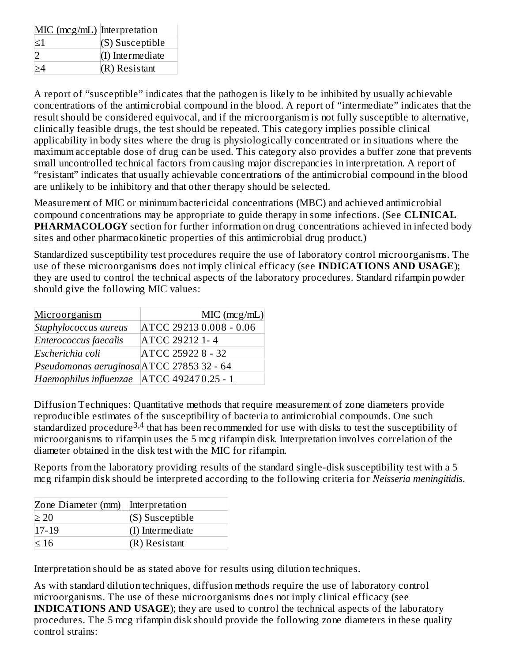| MIC (mcg/mL) Interpretation |                    |
|-----------------------------|--------------------|
|                             | $(S)$ Susceptible  |
|                             | $(I)$ Intermediate |
|                             | $(R)$ Resistant    |

A report of "susceptible" indicates that the pathogen is likely to be inhibited by usually achievable concentrations of the antimicrobial compound in the blood. A report of "intermediate" indicates that the result should be considered equivocal, and if the microorganism is not fully susceptible to alternative, clinically feasible drugs, the test should be repeated. This category implies possible clinical applicability in body sites where the drug is physiologically concentrated or in situations where the maximum acceptable dose of drug can be used. This category also provides a buffer zone that prevents small uncontrolled technical factors from causing major discrepancies in interpretation. A report of "resistant" indicates that usually achievable concentrations of the antimicrobial compound in the blood are unlikely to be inhibitory and that other therapy should be selected.

Measurement of MIC or minimum bactericidal concentrations (MBC) and achieved antimicrobial compound concentrations may be appropriate to guide therapy in some infections. (See **CLINICAL PHARMACOLOGY** section for further information on drug concentrations achieved in infected body sites and other pharmacokinetic properties of this antimicrobial drug product.)

Standardized susceptibility test procedures require the use of laboratory control microorganisms. The use of these microorganisms does not imply clinical efficacy (see **INDICATIONS AND USAGE**); they are used to control the technical aspects of the laboratory procedures. Standard rifampin powder should give the following MIC values:

| Microorganism                                  |                         | $MIC$ (mcg/mL) |
|------------------------------------------------|-------------------------|----------------|
| Staphylococcus aureus                          | ATCC 29213 0.008 - 0.06 |                |
| Enterococcus faecalis                          | ATCC 29212 1-4          |                |
| Escherichia coli                               | ATCC 25922 8 - 32       |                |
| Pseudomonas aeruginosa ATCC 27853 32 - 64      |                         |                |
| Haemophilus influenzae   ATCC 49247   0.25 - 1 |                         |                |

Diffusion Techniques: Quantitative methods that require measurement of zone diameters provide reproducible estimates of the susceptibility of bacteria to antimicrobial compounds. One such standardized procedure<sup>3,4</sup> that has been recommended for use with disks to test the susceptibility of microorganisms to rifampin uses the 5 mcg rifampin disk. Interpretation involves correlation of the diameter obtained in the disk test with the MIC for rifampin.

Reports from the laboratory providing results of the standard single-disk susceptibility test with a 5 mcg rifampin disk should be interpreted according to the following criteria for *Neisseria meningitidis*.

| Zone Diameter (mm) Interpretation |                    |
|-----------------------------------|--------------------|
| $\geq 20$                         | $(S)$ Susceptible  |
| $17 - 19$                         | $(I)$ Intermediate |
| $\leq 16$                         | $(R)$ Resistant    |

Interpretation should be as stated above for results using dilution techniques.

As with standard dilution techniques, diffusion methods require the use of laboratory control microorganisms. The use of these microorganisms does not imply clinical efficacy (see **INDICATIONS AND USAGE**); they are used to control the technical aspects of the laboratory procedures. The 5 mcg rifampin disk should provide the following zone diameters in these quality control strains: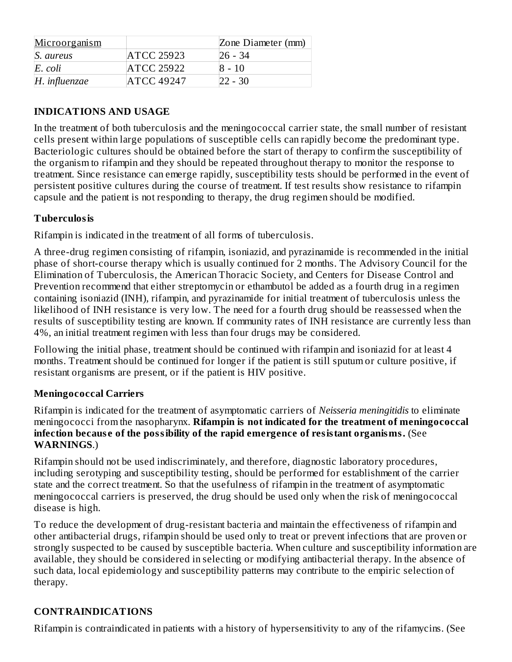| Microorganism |            | Zone Diameter (mm) |
|---------------|------------|--------------------|
| S. aureus     | ATCC 25923 | 26 - 34            |
| $E.$ coli     | ATCC 25922 | 8 - 10             |
| H. influenzae | ATCC 49247 | 22 - 30            |

### **INDICATIONS AND USAGE**

In the treatment of both tuberculosis and the meningococcal carrier state, the small number of resistant cells present within large populations of susceptible cells can rapidly become the predominant type. Bacteriologic cultures should be obtained before the start of therapy to confirm the susceptibility of the organism to rifampin and they should be repeated throughout therapy to monitor the response to treatment. Since resistance can emerge rapidly, susceptibility tests should be performed in the event of persistent positive cultures during the course of treatment. If test results show resistance to rifampin capsule and the patient is not responding to therapy, the drug regimen should be modified.

### **Tuberculosis**

Rifampin is indicated in the treatment of all forms of tuberculosis.

A three-drug regimen consisting of rifampin, isoniazid, and pyrazinamide is recommended in the initial phase of short-course therapy which is usually continued for 2 months. The Advisory Council for the Elimination of Tuberculosis, the American Thoracic Society, and Centers for Disease Control and Prevention recommend that either streptomycin or ethambutol be added as a fourth drug in a regimen containing isoniazid (INH), rifampin, and pyrazinamide for initial treatment of tuberculosis unless the likelihood of INH resistance is very low. The need for a fourth drug should be reassessed when the results of susceptibility testing are known. If community rates of INH resistance are currently less than 4%, an initial treatment regimen with less than four drugs may be considered.

Following the initial phase, treatment should be continued with rifampin and isoniazid for at least 4 months. Treatment should be continued for longer if the patient is still sputum or culture positive, if resistant organisms are present, or if the patient is HIV positive.

#### **Meningococcal Carriers**

Rifampin is indicated for the treatment of asymptomatic carriers of *Neisseria meningitidis* to eliminate meningococci from the nasopharynx. **Rifampin is not indicated for the treatment of meningococcal infection becaus e of the possibility of the rapid emergence of resistant organisms.** (See **WARNINGS**.)

Rifampin should not be used indiscriminately, and therefore, diagnostic laboratory procedures, including serotyping and susceptibility testing, should be performed for establishment of the carrier state and the correct treatment. So that the usefulness of rifampin in the treatment of asymptomatic meningococcal carriers is preserved, the drug should be used only when the risk of meningococcal disease is high.

To reduce the development of drug-resistant bacteria and maintain the effectiveness of rifampin and other antibacterial drugs, rifampin should be used only to treat or prevent infections that are proven or strongly suspected to be caused by susceptible bacteria. When culture and susceptibility information are available, they should be considered in selecting or modifying antibacterial therapy. In the absence of such data, local epidemiology and susceptibility patterns may contribute to the empiric selection of therapy.

# **CONTRAINDICATIONS**

Rifampin is contraindicated in patients with a history of hypersensitivity to any of the rifamycins. (See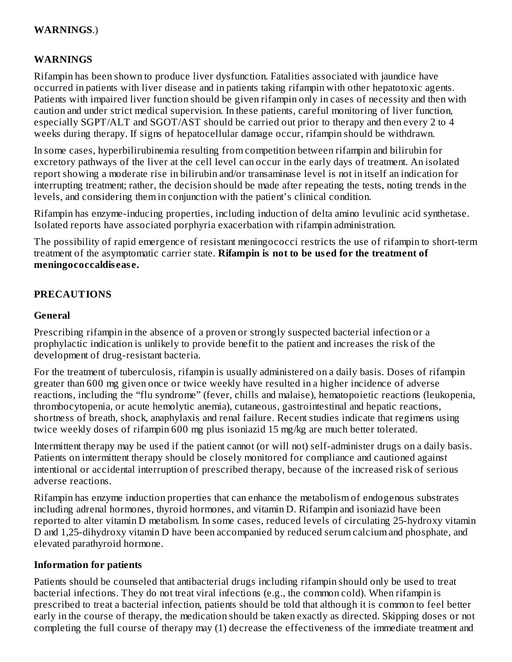### **WARNINGS**.)

#### **WARNINGS**

Rifampin has been shown to produce liver dysfunction. Fatalities associated with jaundice have occurred in patients with liver disease and in patients taking rifampin with other hepatotoxic agents. Patients with impaired liver function should be given rifampin only in cases of necessity and then with caution and under strict medical supervision. In these patients, careful monitoring of liver function, especially SGPT/ALT and SGOT/AST should be carried out prior to therapy and then every 2 to 4 weeks during therapy. If signs of hepatocellular damage occur, rifampin should be withdrawn.

In some cases, hyperbilirubinemia resulting from competition between rifampin and bilirubin for excretory pathways of the liver at the cell level can occur in the early days of treatment. An isolated report showing a moderate rise in bilirubin and/or transaminase level is not in itself an indication for interrupting treatment; rather, the decision should be made after repeating the tests, noting trends in the levels, and considering them in conjunction with the patient's clinical condition.

Rifampin has enzyme-inducing properties, including induction of delta amino levulinic acid synthetase. Isolated reports have associated porphyria exacerbation with rifampin administration.

The possibility of rapid emergence of resistant meningococci restricts the use of rifampin to short-term treatment of the asymptomatic carrier state. **Rifampin is not to be us ed for the treatment of meningococcaldis eas e.**

#### **PRECAUTIONS**

#### **General**

Prescribing rifampin in the absence of a proven or strongly suspected bacterial infection or a prophylactic indication is unlikely to provide benefit to the patient and increases the risk of the development of drug-resistant bacteria.

For the treatment of tuberculosis, rifampin is usually administered on a daily basis. Doses of rifampin greater than 600 mg given once or twice weekly have resulted in a higher incidence of adverse reactions, including the "flu syndrome" (fever, chills and malaise), hematopoietic reactions (leukopenia, thrombocytopenia, or acute hemolytic anemia), cutaneous, gastrointestinal and hepatic reactions, shortness of breath, shock, anaphylaxis and renal failure. Recent studies indicate that regimens using twice weekly doses of rifampin 600 mg plus isoniazid 15 mg/kg are much better tolerated.

Intermittent therapy may be used if the patient cannot (or will not) self-administer drugs on a daily basis. Patients on intermittent therapy should be closely monitored for compliance and cautioned against intentional or accidental interruption of prescribed therapy, because of the increased risk of serious adverse reactions.

Rifampin has enzyme induction properties that can enhance the metabolism of endogenous substrates including adrenal hormones, thyroid hormones, and vitamin D. Rifampin and isoniazid have been reported to alter vitamin D metabolism. In some cases, reduced levels of circulating 25-hydroxy vitamin D and 1,25-dihydroxy vitamin D have been accompanied by reduced serum calcium and phosphate, and elevated parathyroid hormone.

#### **Information for patients**

Patients should be counseled that antibacterial drugs including rifampin should only be used to treat bacterial infections. They do not treat viral infections (e.g., the common cold). When rifampin is prescribed to treat a bacterial infection, patients should be told that although it is common to feel better early in the course of therapy, the medication should be taken exactly as directed. Skipping doses or not completing the full course of therapy may (1) decrease the effectiveness of the immediate treatment and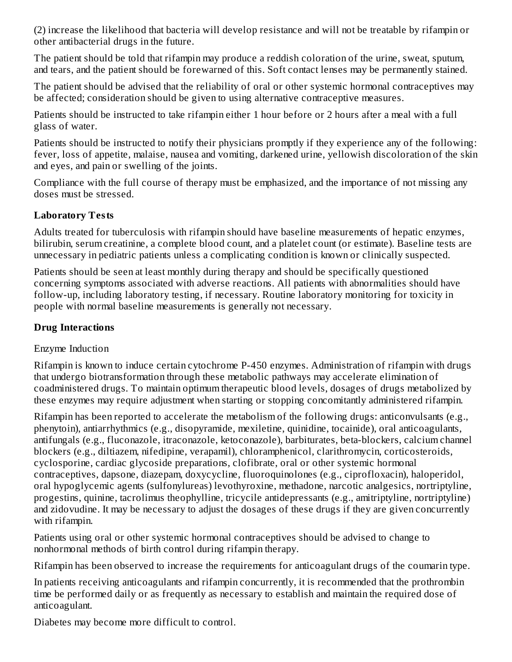(2) increase the likelihood that bacteria will develop resistance and will not be treatable by rifampin or other antibacterial drugs in the future.

The patient should be told that rifampin may produce a reddish coloration of the urine, sweat, sputum, and tears, and the patient should be forewarned of this. Soft contact lenses may be permanently stained.

The patient should be advised that the reliability of oral or other systemic hormonal contraceptives may be affected; consideration should be given to using alternative contraceptive measures.

Patients should be instructed to take rifampin either 1 hour before or 2 hours after a meal with a full glass of water.

Patients should be instructed to notify their physicians promptly if they experience any of the following: fever, loss of appetite, malaise, nausea and vomiting, darkened urine, yellowish discoloration of the skin and eyes, and pain or swelling of the joints.

Compliance with the full course of therapy must be emphasized, and the importance of not missing any doses must be stressed.

# **Laboratory Tests**

Adults treated for tuberculosis with rifampin should have baseline measurements of hepatic enzymes, bilirubin, serum creatinine, a complete blood count, and a platelet count (or estimate). Baseline tests are unnecessary in pediatric patients unless a complicating condition is known or clinically suspected.

Patients should be seen at least monthly during therapy and should be specifically questioned concerning symptoms associated with adverse reactions. All patients with abnormalities should have follow-up, including laboratory testing, if necessary. Routine laboratory monitoring for toxicity in people with normal baseline measurements is generally not necessary.

### **Drug Interactions**

#### Enzyme Induction

Rifampin is known to induce certain cytochrome P-450 enzymes. Administration of rifampin with drugs that undergo biotransformation through these metabolic pathways may accelerate elimination of coadministered drugs. To maintain optimum therapeutic blood levels, dosages of drugs metabolized by these enzymes may require adjustment when starting or stopping concomitantly administered rifampin.

Rifampin has been reported to accelerate the metabolism of the following drugs: anticonvulsants (e.g., phenytoin), antiarrhythmics (e.g., disopyramide, mexiletine, quinidine, tocainide), oral anticoagulants, antifungals (e.g., fluconazole, itraconazole, ketoconazole), barbiturates, beta-blockers, calcium channel blockers (e.g., diltiazem, nifedipine, verapamil), chloramphenicol, clarithromycin, corticosteroids, cyclosporine, cardiac glycoside preparations, clofibrate, oral or other systemic hormonal contraceptives, dapsone, diazepam, doxycycline, fluoroquinolones (e.g., ciprofloxacin), haloperidol, oral hypoglycemic agents (sulfonylureas) levothyroxine, methadone, narcotic analgesics, nortriptyline, progestins, quinine, tacrolimus theophylline, tricycile antidepressants (e.g., amitriptyline, nortriptyline) and zidovudine. It may be necessary to adjust the dosages of these drugs if they are given concurrently with rifampin.

Patients using oral or other systemic hormonal contraceptives should be advised to change to nonhormonal methods of birth control during rifampin therapy.

Rifampin has been observed to increase the requirements for anticoagulant drugs of the coumarin type.

In patients receiving anticoagulants and rifampin concurrently, it is recommended that the prothrombin time be performed daily or as frequently as necessary to establish and maintain the required dose of anticoagulant.

Diabetes may become more difficult to control.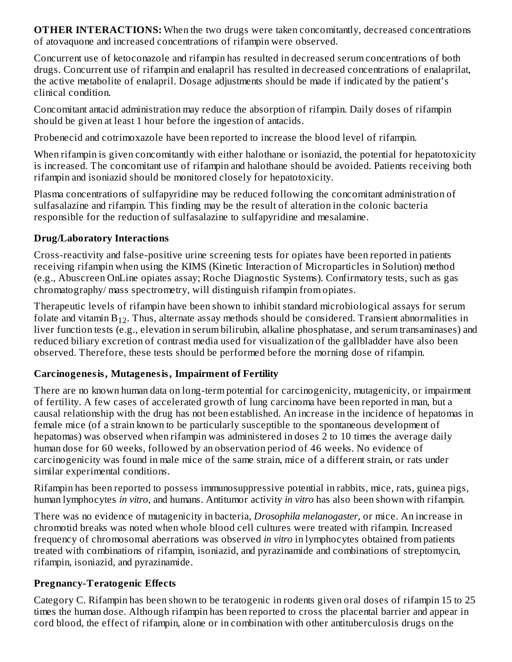**OTHER INTERACTIONS:** When the two drugs were taken concomitantly, decreased concentrations of atovaquone and increased concentrations of rifampin were observed.

Concurrent use of ketoconazole and rifampin has resulted in decreased serum concentrations of both drugs. Concurrent use of rifampin and enalapril has resulted in decreased concentrations of enalaprilat, the active metabolite of enalapril. Dosage adjustments should be made if indicated by the patient's clinical condition.

Concomitant antacid administration may reduce the absorption of rifampin. Daily doses of rifampin should be given at least 1 hour before the ingestion of antacids.

Probenecid and cotrimoxazole have been reported to increase the blood level of rifampin.

When rifampin is given concomitantly with either halothane or isoniazid, the potential for hepatotoxicity is increased. The concomitant use of rifampin and halothane should be avoided. Patients receiving both rifampin and isoniazid should be monitored closely for hepatotoxicity.

Plasma concentrations of sulfapyridine may be reduced following the concomitant administration of sulfasalazine and rifampin. This finding may be the result of alteration in the colonic bacteria responsible for the reduction of sulfasalazine to sulfapyridine and mesalamine.

# **Drug/Laboratory Interactions**

Cross-reactivity and false-positive urine screening tests for opiates have been reported in patients receiving rifampin when using the KIMS (Kinetic Interaction of Microparticles in Solution) method (e.g., Abuscreen OnLine opiates assay; Roche Diagnostic Systems). Confirmatory tests, such as gas chromatography/ mass spectrometry, will distinguish rifampin from opiates.

Therapeutic levels of rifampin have been shown to inhibit standard microbiological assays for serum folate and vitamin  $B_{12}$ . Thus, alternate assay methods should be considered. Transient abnormalities in liver function tests (e.g., elevation in serum bilirubin, alkaline phosphatase, and serum transaminases) and reduced biliary excretion of contrast media used for visualization of the gallbladder have also been observed. Therefore, these tests should be performed before the morning dose of rifampin.

# **Carcinogenesis, Mutagenesis, Impairment of Fertility**

There are no known human data on long-term potential for carcinogenicity, mutagenicity, or impairment of fertility. A few cases of accelerated growth of lung carcinoma have been reported in man, but a causal relationship with the drug has not been established. An increase in the incidence of hepatomas in female mice (of a strain known to be particularly susceptible to the spontaneous development of hepatomas) was observed when rifampin was administered in doses 2 to 10 times the average daily human dose for 60 weeks, followed by an observation period of 46 weeks. No evidence of carcinogenicity was found in male mice of the same strain, mice of a different strain, or rats under similar experimental conditions.

Rifampin has been reported to possess immunosuppressive potential in rabbits, mice, rats, guinea pigs, human lymphocytes *in vitro*, and humans. Antitumor activity *in vitro* has also been shown with rifampin.

There was no evidence of mutagenicity in bacteria, *Drosophila melanogaster,* or mice. An increase in chromotid breaks was noted when whole blood cell cultures were treated with rifampin. Increased frequency of chromosomal aberrations was observed *in vitro* in lymphocytes obtained from patients treated with combinations of rifampin, isoniazid, and pyrazinamide and combinations of streptomycin, rifampin, isoniazid, and pyrazinamide.

# **Pregnancy-Teratogenic Effects**

Category C. Rifampin has been shown to be teratogenic in rodents given oral doses of rifampin 15 to 25 times the human dose. Although rifampin has been reported to cross the placental barrier and appear in cord blood, the effect of rifampin, alone or in combination with other antituberculosis drugs on the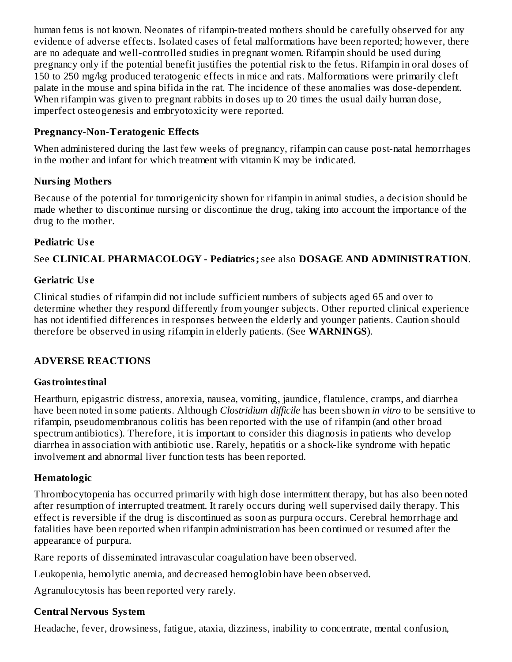human fetus is not known. Neonates of rifampin-treated mothers should be carefully observed for any evidence of adverse effects. Isolated cases of fetal malformations have been reported; however, there are no adequate and well-controlled studies in pregnant women. Rifampin should be used during pregnancy only if the potential benefit justifies the potential risk to the fetus. Rifampin in oral doses of 150 to 250 mg/kg produced teratogenic effects in mice and rats. Malformations were primarily cleft palate in the mouse and spina bifida in the rat. The incidence of these anomalies was dose-dependent. When rifampin was given to pregnant rabbits in doses up to 20 times the usual daily human dose, imperfect osteogenesis and embryotoxicity were reported.

### **Pregnancy-Non-Teratogenic Effects**

When administered during the last few weeks of pregnancy, rifampin can cause post-natal hemorrhages in the mother and infant for which treatment with vitamin K may be indicated.

# **Nursing Mothers**

Because of the potential for tumorigenicity shown for rifampin in animal studies, a decision should be made whether to discontinue nursing or discontinue the drug, taking into account the importance of the drug to the mother.

# **Pediatric Us e**

# See **CLINICAL PHARMACOLOGY - Pediatrics;**see also **DOSAGE AND ADMINISTRATION**.

#### **Geriatric Us e**

Clinical studies of rifampin did not include sufficient numbers of subjects aged 65 and over to determine whether they respond differently from younger subjects. Other reported clinical experience has not identified differences in responses between the elderly and younger patients. Caution should therefore be observed in using rifampin in elderly patients. (See **WARNINGS**).

# **ADVERSE REACTIONS**

#### **Gastrointestinal**

Heartburn, epigastric distress, anorexia, nausea, vomiting, jaundice, flatulence, cramps, and diarrhea have been noted in some patients. Although *Clostridium difficile* has been shown *in vitro* to be sensitive to rifampin, pseudomembranous colitis has been reported with the use of rifampin (and other broad spectrum antibiotics). Therefore, it is important to consider this diagnosis in patients who develop diarrhea in association with antibiotic use. Rarely, hepatitis or a shock-like syndrome with hepatic involvement and abnormal liver function tests has been reported.

#### **Hematologic**

Thrombocytopenia has occurred primarily with high dose intermittent therapy, but has also been noted after resumption of interrupted treatment. It rarely occurs during well supervised daily therapy. This effect is reversible if the drug is discontinued as soon as purpura occurs. Cerebral hemorrhage and fatalities have been reported when rifampin administration has been continued or resumed after the appearance of purpura.

Rare reports of disseminated intravascular coagulation have been observed.

Leukopenia, hemolytic anemia, and decreased hemoglobin have been observed.

Agranulocytosis has been reported very rarely.

#### **Central Nervous System**

Headache, fever, drowsiness, fatigue, ataxia, dizziness, inability to concentrate, mental confusion,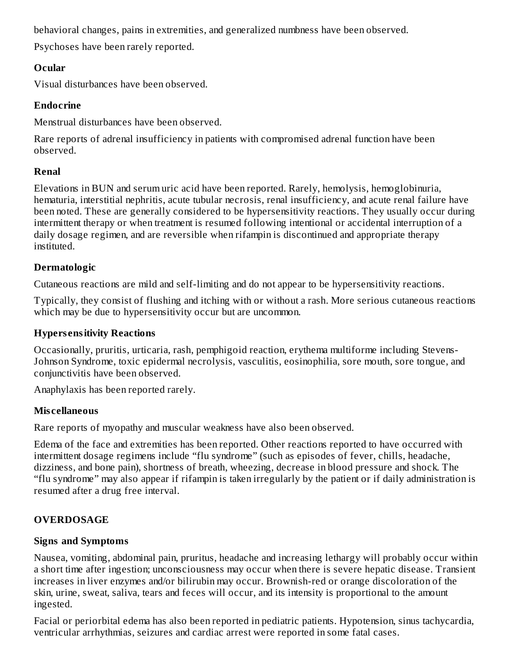behavioral changes, pains in extremities, and generalized numbness have been observed.

Psychoses have been rarely reported.

# **Ocular**

Visual disturbances have been observed.

# **Endocrine**

Menstrual disturbances have been observed.

Rare reports of adrenal insufficiency in patients with compromised adrenal function have been observed.

# **Renal**

Elevations in BUN and serum uric acid have been reported. Rarely, hemolysis, hemoglobinuria, hematuria, interstitial nephritis, acute tubular necrosis, renal insufficiency, and acute renal failure have been noted. These are generally considered to be hypersensitivity reactions. They usually occur during intermittent therapy or when treatment is resumed following intentional or accidental interruption of a daily dosage regimen, and are reversible when rifampin is discontinued and appropriate therapy instituted.

# **Dermatologic**

Cutaneous reactions are mild and self-limiting and do not appear to be hypersensitivity reactions.

Typically, they consist of flushing and itching with or without a rash. More serious cutaneous reactions which may be due to hypersensitivity occur but are uncommon.

# **Hypers ensitivity Reactions**

Occasionally, pruritis, urticaria, rash, pemphigoid reaction, erythema multiforme including Stevens-Johnson Syndrome, toxic epidermal necrolysis, vasculitis, eosinophilia, sore mouth, sore tongue, and conjunctivitis have been observed.

Anaphylaxis has been reported rarely.

# **Mis cellaneous**

Rare reports of myopathy and muscular weakness have also been observed.

Edema of the face and extremities has been reported. Other reactions reported to have occurred with intermittent dosage regimens include "flu syndrome" (such as episodes of fever, chills, headache, dizziness, and bone pain), shortness of breath, wheezing, decrease in blood pressure and shock. The "flu syndrome" may also appear if rifampin is taken irregularly by the patient or if daily administration is resumed after a drug free interval.

# **OVERDOSAGE**

# **Signs and Symptoms**

Nausea, vomiting, abdominal pain, pruritus, headache and increasing lethargy will probably occur within a short time after ingestion; unconsciousness may occur when there is severe hepatic disease. Transient increases in liver enzymes and/or bilirubin may occur. Brownish-red or orange discoloration of the skin, urine, sweat, saliva, tears and feces will occur, and its intensity is proportional to the amount ingested.

Facial or periorbital edema has also been reported in pediatric patients. Hypotension, sinus tachycardia, ventricular arrhythmias, seizures and cardiac arrest were reported in some fatal cases.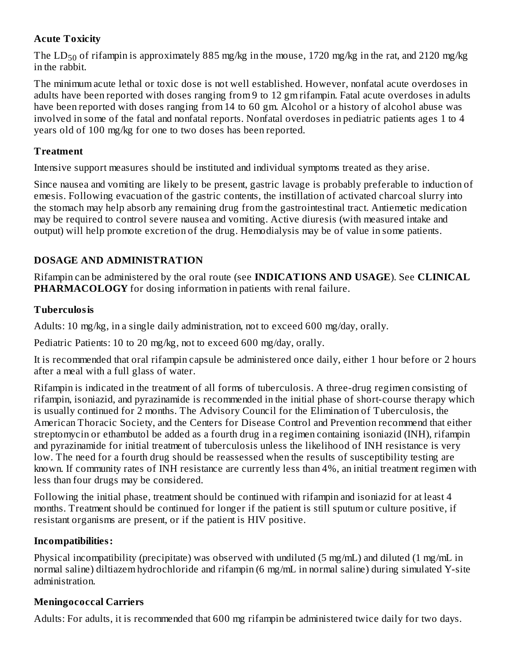# **Acute Toxicity**

The  $LD_{50}$  of rifampin is approximately 885 mg/kg in the mouse, 1720 mg/kg in the rat, and 2120 mg/kg in the rabbit.

The minimum acute lethal or toxic dose is not well established. However, nonfatal acute overdoses in adults have been reported with doses ranging from 9 to 12 gm rifampin. Fatal acute overdoses in adults have been reported with doses ranging from 14 to 60 gm. Alcohol or a history of alcohol abuse was involved in some of the fatal and nonfatal reports. Nonfatal overdoses in pediatric patients ages 1 to 4 years old of 100 mg/kg for one to two doses has been reported.

### **Treatment**

Intensive support measures should be instituted and individual symptoms treated as they arise.

Since nausea and vomiting are likely to be present, gastric lavage is probably preferable to induction of emesis. Following evacuation of the gastric contents, the instillation of activated charcoal slurry into the stomach may help absorb any remaining drug from the gastrointestinal tract. Antiemetic medication may be required to control severe nausea and vomiting. Active diuresis (with measured intake and output) will help promote excretion of the drug. Hemodialysis may be of value in some patients.

# **DOSAGE AND ADMINISTRATION**

Rifampin can be administered by the oral route (see **INDICATIONS AND USAGE**). See **CLINICAL PHARMACOLOGY** for dosing information in patients with renal failure.

# **Tuberculosis**

Adults: 10 mg/kg, in a single daily administration, not to exceed 600 mg/day, orally.

Pediatric Patients: 10 to 20 mg/kg, not to exceed 600 mg/day, orally.

It is recommended that oral rifampin capsule be administered once daily, either 1 hour before or 2 hours after a meal with a full glass of water.

Rifampin is indicated in the treatment of all forms of tuberculosis. A three-drug regimen consisting of rifampin, isoniazid, and pyrazinamide is recommended in the initial phase of short-course therapy which is usually continued for 2 months. The Advisory Council for the Elimination of Tuberculosis, the American Thoracic Society, and the Centers for Disease Control and Prevention recommend that either streptomycin or ethambutol be added as a fourth drug in a regimen containing isoniazid (INH), rifampin and pyrazinamide for initial treatment of tuberculosis unless the likelihood of INH resistance is very low. The need for a fourth drug should be reassessed when the results of susceptibility testing are known. If community rates of INH resistance are currently less than 4%, an initial treatment regimen with less than four drugs may be considered.

Following the initial phase, treatment should be continued with rifampin and isoniazid for at least 4 months. Treatment should be continued for longer if the patient is still sputum or culture positive, if resistant organisms are present, or if the patient is HIV positive.

# **Incompatibilities:**

Physical incompatibility (precipitate) was observed with undiluted (5 mg/mL) and diluted (1 mg/mL in normal saline) diltiazem hydrochloride and rifampin (6 mg/mL in normal saline) during simulated Y-site administration.

# **Meningococcal Carriers**

Adults: For adults, it is recommended that 600 mg rifampin be administered twice daily for two days.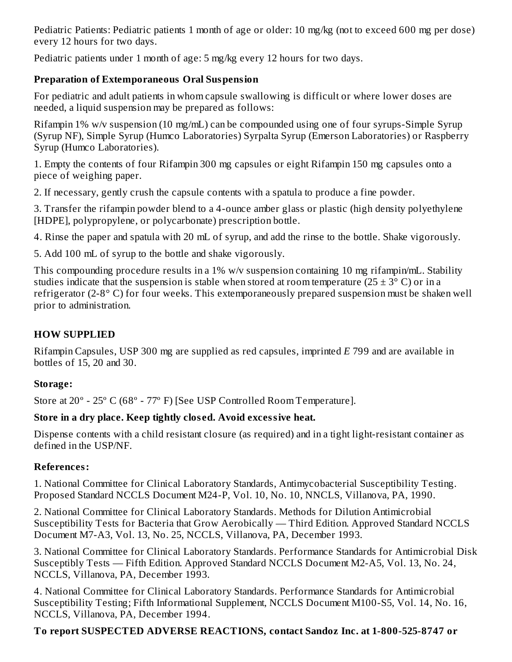Pediatric Patients: Pediatric patients 1 month of age or older: 10 mg/kg (not to exceed 600 mg per dose) every 12 hours for two days.

Pediatric patients under 1 month of age: 5 mg/kg every 12 hours for two days.

# **Preparation of Extemporaneous Oral Suspension**

For pediatric and adult patients in whom capsule swallowing is difficult or where lower doses are needed, a liquid suspension may be prepared as follows:

Rifampin 1% w/v suspension (10 mg/mL) can be compounded using one of four syrups-Simple Syrup (Syrup NF), Simple Syrup (Humco Laboratories) Syrpalta Syrup (Emerson Laboratories) or Raspberry Syrup (Humco Laboratories).

1. Empty the contents of four Rifampin 300 mg capsules or eight Rifampin 150 mg capsules onto a piece of weighing paper.

2. If necessary, gently crush the capsule contents with a spatula to produce a fine powder.

3. Transfer the rifampin powder blend to a 4-ounce amber glass or plastic (high density polyethylene [HDPE], polypropylene, or polycarbonate) prescription bottle.

4. Rinse the paper and spatula with 20 mL of syrup, and add the rinse to the bottle. Shake vigorously.

5. Add 100 mL of syrup to the bottle and shake vigorously.

This compounding procedure results in a 1% w/v suspension containing 10 mg rifampin/mL. Stability studies indicate that the suspension is stable when stored at room temperature (25  $\pm$  3 $\degree$  C) or in a refrigerator (2-8° C) for four weeks. This extemporaneously prepared suspension must be shaken well prior to administration.

# **HOW SUPPLIED**

Rifampin Capsules, USP 300 mg are supplied as red capsules, imprinted *E* 799 and are available in bottles of 15, 20 and 30.

# **Storage:**

Store at 20º - 25º C (68º - 77º F) [See USP Controlled Room Temperature].

# **Store in a dry place. Keep tightly clos ed. Avoid excessive heat.**

Dispense contents with a child resistant closure (as required) and in a tight light-resistant container as defined in the USP/NF.

# **References:**

1. National Committee for Clinical Laboratory Standards, Antimycobacterial Susceptibility Testing. Proposed Standard NCCLS Document M24-P, Vol. 10, No. 10, NNCLS, Villanova, PA, 1990.

2. National Committee for Clinical Laboratory Standards. Methods for Dilution Antimicrobial Susceptibility Tests for Bacteria that Grow Aerobically — Third Edition. Approved Standard NCCLS Document M7-A3, Vol. 13, No. 25, NCCLS, Villanova, PA, December 1993.

3. National Committee for Clinical Laboratory Standards. Performance Standards for Antimicrobial Disk Susceptibly Tests — Fifth Edition. Approved Standard NCCLS Document M2-A5, Vol. 13, No. 24, NCCLS, Villanova, PA, December 1993.

4. National Committee for Clinical Laboratory Standards. Performance Standards for Antimicrobial Susceptibility Testing; Fifth Informational Supplement, NCCLS Document M100-S5, Vol. 14, No. 16, NCCLS, Villanova, PA, December 1994.

# **To report SUSPECTED ADVERSE REACTIONS, contact Sandoz Inc. at 1-800-525-8747 or**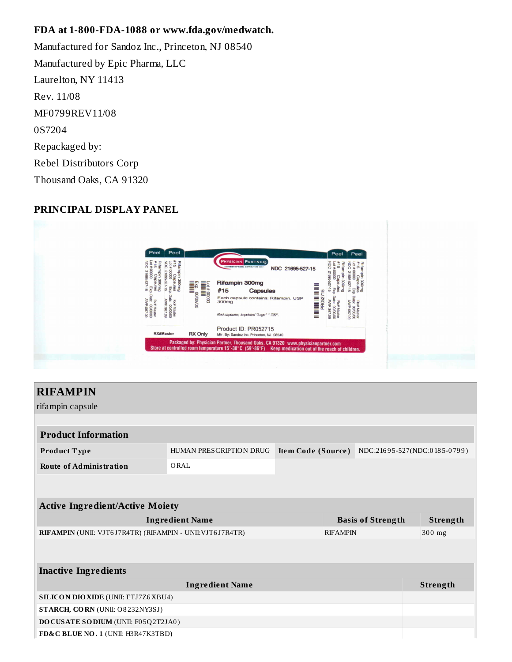### **FDA at 1-800-FDA-1088 or www.fda.gov/medwatch.**

Manufactured for Sandoz Inc., Princeton, NJ 08540 Manufactured by Epic Pharma, LLC Laurelton, NY 11413 Rev. 11/08 MF0799REV11/08 0S7204 Repackaged by: Rebel Distributors Corp Thousand Oaks, CA 91320

#### **PRINCIPAL DISPLAY PANEL**



# **RIFAMPIN**

| rifampin capsule                                                             |                         |                    |  |                              |                 |  |
|------------------------------------------------------------------------------|-------------------------|--------------------|--|------------------------------|-----------------|--|
|                                                                              |                         |                    |  |                              |                 |  |
| <b>Product Information</b>                                                   |                         |                    |  |                              |                 |  |
| <b>Product Type</b>                                                          | HUMAN PRESCRIPTION DRUG | Item Code (Source) |  | NDC:21695-527(NDC:0185-0799) |                 |  |
| <b>Route of Administration</b>                                               | ORAL                    |                    |  |                              |                 |  |
|                                                                              |                         |                    |  |                              |                 |  |
| <b>Active Ingredient/Active Moiety</b>                                       |                         |                    |  |                              |                 |  |
|                                                                              | <b>Ingredient Name</b>  |                    |  | <b>Basis of Strength</b>     | <b>Strength</b> |  |
| RIFAMPIN (UNII: VJT6J7R4TR) (RIFAMPIN - UNII: VJT6J7R4TR)<br><b>RIFAMPIN</b> |                         |                    |  | 300 mg                       |                 |  |
|                                                                              |                         |                    |  |                              |                 |  |
| <b>Inactive Ingredients</b>                                                  |                         |                    |  |                              |                 |  |
|                                                                              | <b>Ingredient Name</b>  |                    |  |                              | Strength        |  |
| <b>SILICON DIO XIDE (UNII: ETJ7Z6 XBU4)</b>                                  |                         |                    |  |                              |                 |  |
| STARCH, CORN (UNII: O8232NY3SJ)                                              |                         |                    |  |                              |                 |  |
| <b>DOCUSATE SODIUM (UNII: F05Q2T2JA0)</b>                                    |                         |                    |  |                              |                 |  |
| FD&C BLUE NO. 1 (UNII: H3R47K3TBD)                                           |                         |                    |  |                              |                 |  |